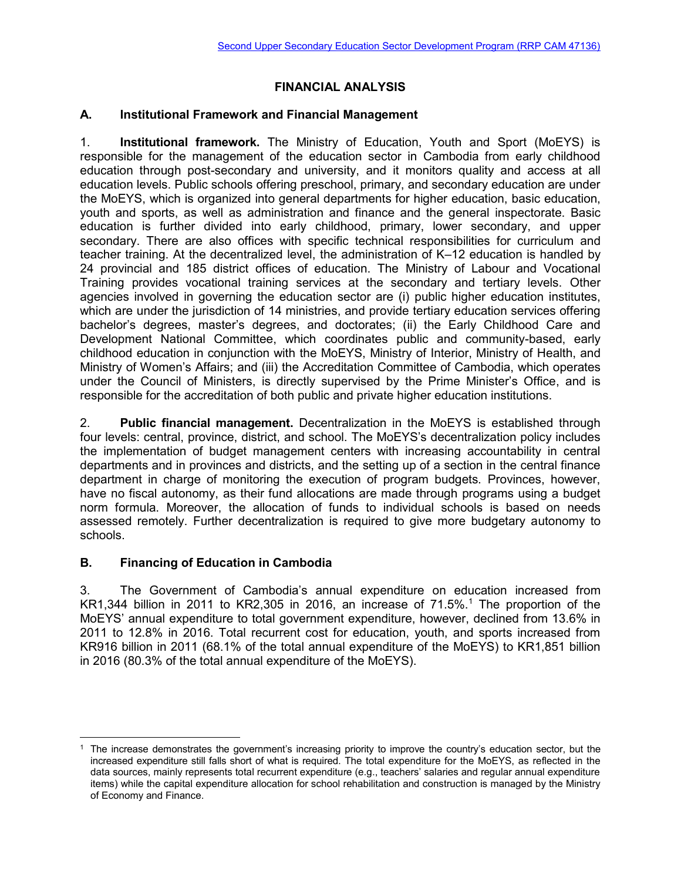# **FINANCIAL ANALYSIS**

## **A. Institutional Framework and Financial Management**

1. **Institutional framework.** The Ministry of Education, Youth and Sport (MoEYS) is responsible for the management of the education sector in Cambodia from early childhood education through post-secondary and university, and it monitors quality and access at all education levels. Public schools offering preschool, primary, and secondary education are under the MoEYS, which is organized into general departments for higher education, basic education, youth and sports, as well as administration and finance and the general inspectorate. Basic education is further divided into early childhood, primary, lower secondary, and upper secondary. There are also offices with specific technical responsibilities for curriculum and teacher training. At the decentralized level, the administration of K–12 education is handled by 24 provincial and 185 district offices of education. The Ministry of Labour and Vocational Training provides vocational training services at the secondary and tertiary levels. Other agencies involved in governing the education sector are (i) public higher education institutes, which are under the jurisdiction of 14 ministries, and provide tertiary education services offering bachelor's degrees, master's degrees, and doctorates; (ii) the Early Childhood Care and Development National Committee, which coordinates public and community-based, early childhood education in conjunction with the MoEYS, Ministry of Interior, Ministry of Health, and Ministry of Women's Affairs; and (iii) the Accreditation Committee of Cambodia, which operates under the Council of Ministers, is directly supervised by the Prime Minister's Office, and is responsible for the accreditation of both public and private higher education institutions.

2. **Public financial management.** Decentralization in the MoEYS is established through four levels: central, province, district, and school. The MoEYS's decentralization policy includes the implementation of budget management centers with increasing accountability in central departments and in provinces and districts, and the setting up of a section in the central finance department in charge of monitoring the execution of program budgets. Provinces, however, have no fiscal autonomy, as their fund allocations are made through programs using a budget norm formula. Moreover, the allocation of funds to individual schools is based on needs assessed remotely. Further decentralization is required to give more budgetary autonomy to schools.

## **B. Financing of Education in Cambodia**

3. The Government of Cambodia's annual expenditure on education increased from KR1,344 billion in 2011 to KR2,305 in 2016, an increase of 71.5%.<sup>1</sup> The proportion of the MoEYS' annual expenditure to total government expenditure, however, declined from 13.6% in 2011 to 12.8% in 2016. Total recurrent cost for education, youth, and sports increased from KR916 billion in 2011 (68.1% of the total annual expenditure of the MoEYS) to KR1,851 billion in 2016 (80.3% of the total annual expenditure of the MoEYS).

 $\overline{a}$  $1$  The increase demonstrates the government's increasing priority to improve the country's education sector, but the increased expenditure still falls short of what is required. The total expenditure for the MoEYS, as reflected in the data sources, mainly represents total recurrent expenditure (e.g., teachers' salaries and regular annual expenditure items) while the capital expenditure allocation for school rehabilitation and construction is managed by the Ministry of Economy and Finance.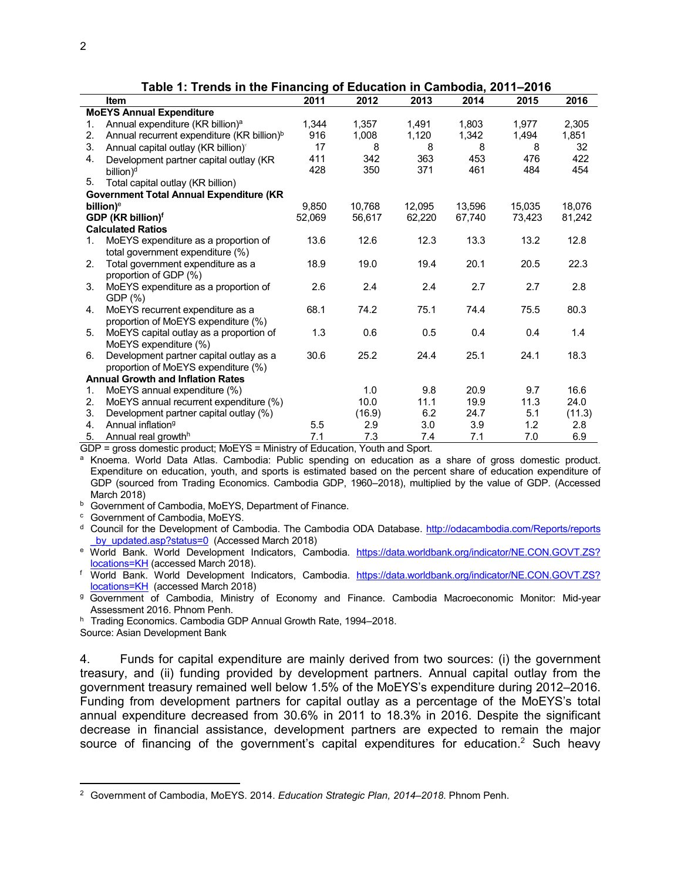| $1800$ T. Thends in the Financing of Education in Odinbould, LVTT-LVTV |                                                        |        |        |        |        |        |        |  |
|------------------------------------------------------------------------|--------------------------------------------------------|--------|--------|--------|--------|--------|--------|--|
|                                                                        | <b>Item</b>                                            | 2011   | 2012   | 2013   | 2014   | 2015   | 2016   |  |
|                                                                        | <b>MoEYS Annual Expenditure</b>                        |        |        |        |        |        |        |  |
| 1.                                                                     | Annual expenditure (KR billion) <sup>a</sup>           | 1,344  | 1,357  | 1,491  | 1.803  | 1.977  | 2,305  |  |
| 2.                                                                     | Annual recurrent expenditure (KR billion) <sup>b</sup> | 916    | 1,008  | 1,120  | 1,342  | 1,494  | 1,851  |  |
| 3.                                                                     | Annual capital outlay (KR billion)°                    | 17     | 8      | 8      | 8      | 8      | 32     |  |
| 4.                                                                     | Development partner capital outlay (KR                 | 411    | 342    | 363    | 453    | 476    | 422    |  |
|                                                                        | billion) <sup>d</sup>                                  | 428    | 350    | 371    | 461    | 484    | 454    |  |
| 5.                                                                     | Total capital outlay (KR billion)                      |        |        |        |        |        |        |  |
|                                                                        | <b>Government Total Annual Expenditure (KR</b>         |        |        |        |        |        |        |  |
|                                                                        | billion) <sup>e</sup>                                  | 9.850  | 10,768 | 12,095 | 13,596 | 15,035 | 18,076 |  |
|                                                                        | GDP (KR billion) <sup>f</sup>                          | 52.069 | 56,617 | 62,220 | 67,740 | 73,423 | 81,242 |  |
|                                                                        | <b>Calculated Ratios</b>                               |        |        |        |        |        |        |  |
| 1.                                                                     | MoEYS expenditure as a proportion of                   | 13.6   | 12.6   | 12.3   | 13.3   | 13.2   | 12.8   |  |
|                                                                        | total government expenditure (%)                       |        |        |        |        |        |        |  |
| 2.                                                                     | Total government expenditure as a                      | 18.9   | 19.0   | 19.4   | 20.1   | 20.5   | 22.3   |  |
|                                                                        | proportion of GDP (%)                                  |        |        |        |        |        |        |  |
| 3.                                                                     | MoEYS expenditure as a proportion of                   | 2.6    | 2.4    | 2.4    | 2.7    | 2.7    | 2.8    |  |
|                                                                        | GDP (%)                                                |        |        |        |        |        |        |  |
| 4.                                                                     | MoEYS recurrent expenditure as a                       | 68.1   | 74.2   | 75.1   | 74.4   | 75.5   | 80.3   |  |
|                                                                        | proportion of MoEYS expenditure (%)                    |        |        |        |        |        |        |  |
| 5.                                                                     | MoEYS capital outlay as a proportion of                | 1.3    | 0.6    | 0.5    | 0.4    | 0.4    | 1.4    |  |
|                                                                        | MoEYS expenditure (%)                                  |        |        |        |        |        |        |  |
| 6.                                                                     | Development partner capital outlay as a                | 30.6   | 25.2   | 24.4   | 25.1   | 24.1   | 18.3   |  |
|                                                                        | proportion of MoEYS expenditure (%)                    |        |        |        |        |        |        |  |
|                                                                        | <b>Annual Growth and Inflation Rates</b>               |        |        |        |        |        |        |  |
| 1.                                                                     | MoEYS annual expenditure (%)                           |        | 1.0    | 9.8    | 20.9   | 9.7    | 16.6   |  |
| 2.                                                                     | MoEYS annual recurrent expenditure (%)                 |        | 10.0   | 11.1   | 19.9   | 11.3   | 24.0   |  |
| 3.                                                                     | Development partner capital outlay (%)                 |        | (16.9) | 6.2    | 24.7   | 5.1    | (11.3) |  |
| 4.                                                                     | Annual inflation <sup>9</sup>                          | 5.5    | 2.9    | 3.0    | 3.9    | 1.2    | 2.8    |  |
| 5.                                                                     | Annual real growth <sup>h</sup>                        | 7.1    | 7.3    | 7.4    | 7.1    | 7.0    | 6.9    |  |

**Table 1: Trends in the Financing of Education in Cambodia, 2011–2016**

GDP = gross domestic product; MoEYS = Ministry of Education, Youth and Sport.

a Knoema. World Data Atlas. Cambodia: Public spending on education as a share of gross domestic product. Expenditure on education, youth, and sports is estimated based on the percent share of education expenditure of GDP (sourced from Trading Economics. Cambodia GDP, 1960–2018), multiplied by the value of GDP. (Accessed March 2018)

b Government of Cambodia, MoEYS, Department of Finance.

<sup>c</sup> Government of Cambodia, MoEYS.

<sup>d</sup> Council for the Development of Cambodia. The Cambodia ODA Database. [http://odacambodia.com/Reports/reports](http://odacambodia.com/Reports/reports%20_by_updated.asp?status=0)  [\\_by\\_updated.asp?status=0](http://odacambodia.com/Reports/reports%20_by_updated.asp?status=0) (Accessed March 2018)

<sup>e</sup> World Bank. World Development Indicators, Cambodia. [https://data.worldbank.org/indicator/NE.CON.GOVT.ZS?](https://data.worldbank.org/indicator/NE.CON.GOVT.ZS?%20locations=KH)  [locations=KH](https://data.worldbank.org/indicator/NE.CON.GOVT.ZS?%20locations=KH) (accessed March 2018).

<sup>f</sup> World Bank. World Development Indicators, Cambodia. [https://data.worldbank.org/indicator/NE.CON.GOVT.ZS?](https://data.worldbank.org/indicator/NE.CON.GOVT.ZS?%20locations=KH)  [locations=KH](https://data.worldbank.org/indicator/NE.CON.GOVT.ZS?%20locations=KH) (accessed March 2018)

<sup>g</sup> Government of Cambodia, Ministry of Economy and Finance. Cambodia Macroeconomic Monitor: Mid-year Assessment 2016. Phnom Penh.

<sup>h</sup> Trading Economics. Cambodia GDP Annual Growth Rate, 1994–2018.

Source: Asian Development Bank

 $\overline{a}$ 

4. Funds for capital expenditure are mainly derived from two sources: (i) the government treasury, and (ii) funding provided by development partners. Annual capital outlay from the government treasury remained well below 1.5% of the MoEYS's expenditure during 2012–2016. Funding from development partners for capital outlay as a percentage of the MoEYS's total annual expenditure decreased from 30.6% in 2011 to 18.3% in 2016. Despite the significant decrease in financial assistance, development partners are expected to remain the major source of financing of the government's capital expenditures for education.<sup>2</sup> Such heavy

<sup>2</sup> Government of Cambodia, MoEYS. 2014. *Education Strategic Plan, 2014–2018*. Phnom Penh.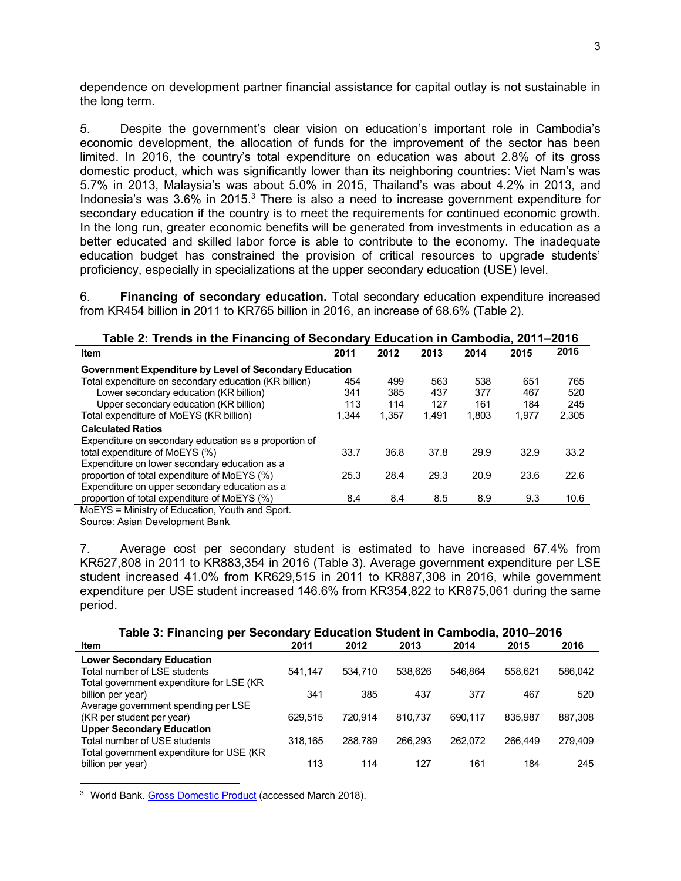dependence on development partner financial assistance for capital outlay is not sustainable in the long term.

5. Despite the government's clear vision on education's important role in Cambodia's economic development, the allocation of funds for the improvement of the sector has been limited. In 2016, the country's total expenditure on education was about 2.8% of its gross domestic product, which was significantly lower than its neighboring countries: Viet Nam's was 5.7% in 2013, Malaysia's was about 5.0% in 2015, Thailand's was about 4.2% in 2013, and Indonesia's was 3.6% in 2015.<sup>3</sup> There is also a need to increase government expenditure for secondary education if the country is to meet the requirements for continued economic growth. In the long run, greater economic benefits will be generated from investments in education as a better educated and skilled labor force is able to contribute to the economy. The inadequate education budget has constrained the provision of critical resources to upgrade students' proficiency, especially in specializations at the upper secondary education (USE) level.

6. **Financing of secondary education.** Total secondary education expenditure increased from KR454 billion in 2011 to KR765 billion in 2016, an increase of 68.6% (Table 2).

| Table 2: Trends in the Financing of Secondary Education in Cambodia, 2011–2016 |       |       |       |       |       |       |  |  |
|--------------------------------------------------------------------------------|-------|-------|-------|-------|-------|-------|--|--|
| <b>Item</b>                                                                    | 2011  | 2012  | 2013  | 2014  | 2015  | 2016  |  |  |
| Government Expenditure by Level of Secondary Education                         |       |       |       |       |       |       |  |  |
| Total expenditure on secondary education (KR billion)                          | 454   | 499   | 563   | 538   | 651   | 765   |  |  |
| Lower secondary education (KR billion)                                         | 341   | 385   | 437   | 377   | 467   | 520   |  |  |
| Upper secondary education (KR billion)                                         | 113   | 114   | 127   | 161   | 184   | 245   |  |  |
| Total expenditure of MoEYS (KR billion)                                        | 1.344 | 1.357 | 1.491 | 1.803 | 1.977 | 2.305 |  |  |
| <b>Calculated Ratios</b>                                                       |       |       |       |       |       |       |  |  |
| Expenditure on secondary education as a proportion of                          |       |       |       |       |       |       |  |  |
| total expenditure of MoEYS (%)                                                 | 33.7  | 36.8  | 37.8  | 29.9  | 32.9  | 33.2  |  |  |
| Expenditure on lower secondary education as a                                  |       |       |       |       |       |       |  |  |
| proportion of total expenditure of MoEYS (%)                                   | 25.3  | 28.4  | 29.3  | 20.9  | 23.6  | 22.6  |  |  |
| Expenditure on upper secondary education as a                                  |       |       |       |       |       |       |  |  |
| proportion of total expenditure of MoEYS (%)                                   | 8.4   | 8.4   | 8.5   | 8.9   | 9.3   | 10.6  |  |  |
| MoEYS = Ministry of Education, Youth and Sport.                                |       |       |       |       |       |       |  |  |

Source: Asian Development Bank

 $\overline{a}$ 

7. Average cost per secondary student is estimated to have increased 67.4% from KR527,808 in 2011 to KR883,354 in 2016 (Table 3). Average government expenditure per LSE student increased 41.0% from KR629,515 in 2011 to KR887,308 in 2016, while government expenditure per USE student increased 146.6% from KR354,822 to KR875,061 during the same period.

| Table 3: Financing per Secondary Education Student in Cambodia, 2010-2016 |  |  |
|---------------------------------------------------------------------------|--|--|
|---------------------------------------------------------------------------|--|--|

| <b>Item</b>                               | 2011    | 2012    | 2013    | 2014    | 2015    | 2016    |
|-------------------------------------------|---------|---------|---------|---------|---------|---------|
| <b>Lower Secondary Education</b>          |         |         |         |         |         |         |
| Total number of LSE students              | 541.147 | 534.710 | 538.626 | 546.864 | 558.621 | 586.042 |
| Total government expenditure for LSE (KR) |         |         |         |         |         |         |
| billion per year)                         | 341     | 385     | 437     | 377     | 467     | 520     |
| Average government spending per LSE       |         |         |         |         |         |         |
| (KR per student per year)                 | 629.515 | 720.914 | 810.737 | 690.117 | 835.987 | 887,308 |
| <b>Upper Secondary Education</b>          |         |         |         |         |         |         |
| Total number of USE students              | 318,165 | 288.789 | 266.293 | 262.072 | 266.449 | 279.409 |
| Total government expenditure for USE (KR) |         |         |         |         |         |         |
| billion per year)                         | 113     | 114     | 127     | 161     | 184     | 245     |

<sup>3</sup> World Bank. [Gross Domestic Product](https://data.worldbank.org/indicator/NY.GDP.MKTP.CD?locations=KH) (accessed March 2018).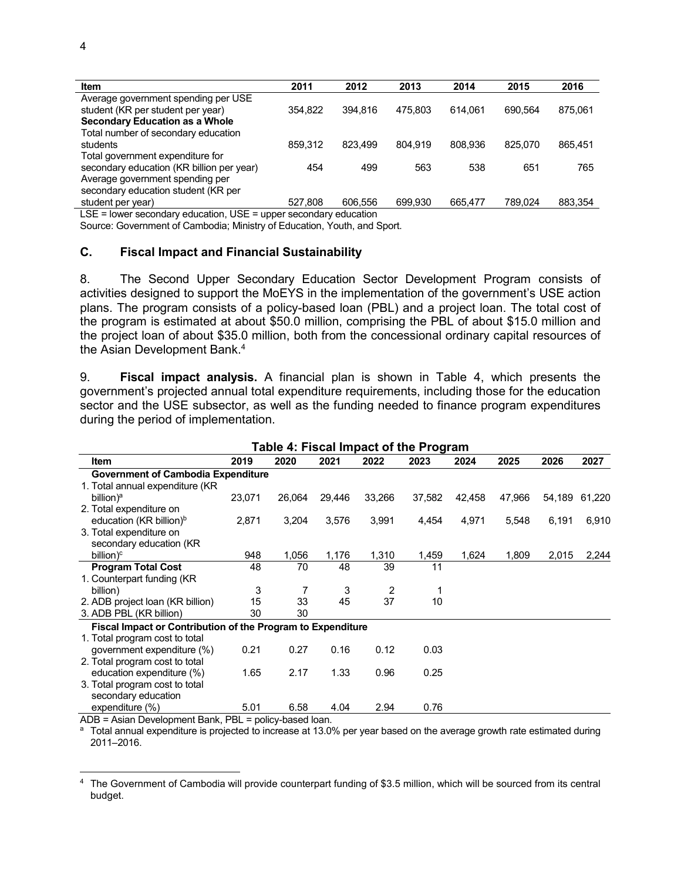| <b>Item</b>                                                      | 2011    | 2012    | 2013    | 2014    | 2015    | 2016    |
|------------------------------------------------------------------|---------|---------|---------|---------|---------|---------|
| Average government spending per USE                              |         |         |         |         |         |         |
| student (KR per student per year)                                | 354.822 | 394.816 | 475.803 | 614.061 | 690.564 | 875.061 |
| Secondary Education as a Whole                                   |         |         |         |         |         |         |
| Total number of secondary education                              |         |         |         |         |         |         |
| students                                                         | 859.312 | 823.499 | 804.919 | 808.936 | 825.070 | 865,451 |
| Total government expenditure for                                 |         |         |         |         |         |         |
| secondary education (KR billion per year)                        | 454     | 499     | 563     | 538     | 651     | 765     |
| Average government spending per                                  |         |         |         |         |         |         |
| secondary education student (KR per                              |         |         |         |         |         |         |
| student per year)                                                | 527.808 | 606.556 | 699.930 | 665.477 | 789.024 | 883,354 |
| LSE = lower secondary education, USE = upper secondary education |         |         |         |         |         |         |

Source: Government of Cambodia; Ministry of Education, Youth, and Sport.

#### **C. Fiscal Impact and Financial Sustainability**

8. The Second Upper Secondary Education Sector Development Program consists of activities designed to support the MoEYS in the implementation of the government's USE action plans. The program consists of a policy-based loan (PBL) and a project loan. The total cost of the program is estimated at about \$50.0 million, comprising the PBL of about \$15.0 million and the project loan of about \$35.0 million, both from the concessional ordinary capital resources of the Asian Development Bank. 4

9. **Fiscal impact analysis.** A financial plan is shown in Table 4, which presents the government's projected annual total expenditure requirements, including those for the education sector and the USE subsector, as well as the funding needed to finance program expenditures during the period of implementation.

| 2019<br>2026<br>2027<br>2020<br>2021<br>2022<br>2023<br>2024<br>2025<br><b>Item</b><br><b>Government of Cambodia Expenditure</b><br>1. Total annual expenditure (KR)<br>23,071<br>26,064<br>33,266<br>37,582<br>42,458<br>47,966<br>54,189<br>billion) <sup>a</sup><br>29,446<br>61,220<br>2. Total expenditure on<br>education (KR billion) <sup>b</sup><br>2,871<br>3,204<br>3,576<br>3,991<br>4,971<br>6,191<br>6,910<br>4,454<br>5,548<br>3. Total expenditure on<br>secondary education (KR<br>948<br>1,056<br>1,176<br>1,310<br>1,459<br>1,624<br>1,809<br>2,015<br>2,244<br>billion) $\degree$<br>11<br><b>Program Total Cost</b><br>48<br>70<br>48<br>39<br>1. Counterpart funding (KR)<br>3<br>7<br>3<br>billion)<br>2<br>37<br>33<br>45<br>15<br>10<br>2. ADB project loan (KR billion)<br>3. ADB PBL (KR billion)<br>30<br>30<br>Fiscal Impact or Contribution of the Program to Expenditure<br>1. Total program cost to total<br>0.21<br>0.27<br>0.16<br>0.12<br>0.03<br>government expenditure (%) | Table 4: Fiscal Impact of the Program |  |  |  |  |  |  |  |  |  |  |
|-----------------------------------------------------------------------------------------------------------------------------------------------------------------------------------------------------------------------------------------------------------------------------------------------------------------------------------------------------------------------------------------------------------------------------------------------------------------------------------------------------------------------------------------------------------------------------------------------------------------------------------------------------------------------------------------------------------------------------------------------------------------------------------------------------------------------------------------------------------------------------------------------------------------------------------------------------------------------------------------------------------------|---------------------------------------|--|--|--|--|--|--|--|--|--|--|
|                                                                                                                                                                                                                                                                                                                                                                                                                                                                                                                                                                                                                                                                                                                                                                                                                                                                                                                                                                                                                 |                                       |  |  |  |  |  |  |  |  |  |  |
|                                                                                                                                                                                                                                                                                                                                                                                                                                                                                                                                                                                                                                                                                                                                                                                                                                                                                                                                                                                                                 |                                       |  |  |  |  |  |  |  |  |  |  |
|                                                                                                                                                                                                                                                                                                                                                                                                                                                                                                                                                                                                                                                                                                                                                                                                                                                                                                                                                                                                                 |                                       |  |  |  |  |  |  |  |  |  |  |
|                                                                                                                                                                                                                                                                                                                                                                                                                                                                                                                                                                                                                                                                                                                                                                                                                                                                                                                                                                                                                 |                                       |  |  |  |  |  |  |  |  |  |  |
|                                                                                                                                                                                                                                                                                                                                                                                                                                                                                                                                                                                                                                                                                                                                                                                                                                                                                                                                                                                                                 |                                       |  |  |  |  |  |  |  |  |  |  |
|                                                                                                                                                                                                                                                                                                                                                                                                                                                                                                                                                                                                                                                                                                                                                                                                                                                                                                                                                                                                                 |                                       |  |  |  |  |  |  |  |  |  |  |
|                                                                                                                                                                                                                                                                                                                                                                                                                                                                                                                                                                                                                                                                                                                                                                                                                                                                                                                                                                                                                 |                                       |  |  |  |  |  |  |  |  |  |  |
|                                                                                                                                                                                                                                                                                                                                                                                                                                                                                                                                                                                                                                                                                                                                                                                                                                                                                                                                                                                                                 |                                       |  |  |  |  |  |  |  |  |  |  |
|                                                                                                                                                                                                                                                                                                                                                                                                                                                                                                                                                                                                                                                                                                                                                                                                                                                                                                                                                                                                                 |                                       |  |  |  |  |  |  |  |  |  |  |
|                                                                                                                                                                                                                                                                                                                                                                                                                                                                                                                                                                                                                                                                                                                                                                                                                                                                                                                                                                                                                 |                                       |  |  |  |  |  |  |  |  |  |  |
|                                                                                                                                                                                                                                                                                                                                                                                                                                                                                                                                                                                                                                                                                                                                                                                                                                                                                                                                                                                                                 |                                       |  |  |  |  |  |  |  |  |  |  |
|                                                                                                                                                                                                                                                                                                                                                                                                                                                                                                                                                                                                                                                                                                                                                                                                                                                                                                                                                                                                                 |                                       |  |  |  |  |  |  |  |  |  |  |
|                                                                                                                                                                                                                                                                                                                                                                                                                                                                                                                                                                                                                                                                                                                                                                                                                                                                                                                                                                                                                 |                                       |  |  |  |  |  |  |  |  |  |  |
|                                                                                                                                                                                                                                                                                                                                                                                                                                                                                                                                                                                                                                                                                                                                                                                                                                                                                                                                                                                                                 |                                       |  |  |  |  |  |  |  |  |  |  |
|                                                                                                                                                                                                                                                                                                                                                                                                                                                                                                                                                                                                                                                                                                                                                                                                                                                                                                                                                                                                                 |                                       |  |  |  |  |  |  |  |  |  |  |
|                                                                                                                                                                                                                                                                                                                                                                                                                                                                                                                                                                                                                                                                                                                                                                                                                                                                                                                                                                                                                 |                                       |  |  |  |  |  |  |  |  |  |  |
|                                                                                                                                                                                                                                                                                                                                                                                                                                                                                                                                                                                                                                                                                                                                                                                                                                                                                                                                                                                                                 |                                       |  |  |  |  |  |  |  |  |  |  |
|                                                                                                                                                                                                                                                                                                                                                                                                                                                                                                                                                                                                                                                                                                                                                                                                                                                                                                                                                                                                                 | 2. Total program cost to total        |  |  |  |  |  |  |  |  |  |  |
| 2.17<br>1.33<br>0.96<br>0.25<br>1.65<br>education expenditure (%)                                                                                                                                                                                                                                                                                                                                                                                                                                                                                                                                                                                                                                                                                                                                                                                                                                                                                                                                               |                                       |  |  |  |  |  |  |  |  |  |  |
| 3. Total program cost to total                                                                                                                                                                                                                                                                                                                                                                                                                                                                                                                                                                                                                                                                                                                                                                                                                                                                                                                                                                                  |                                       |  |  |  |  |  |  |  |  |  |  |
| secondary education                                                                                                                                                                                                                                                                                                                                                                                                                                                                                                                                                                                                                                                                                                                                                                                                                                                                                                                                                                                             |                                       |  |  |  |  |  |  |  |  |  |  |
| 0.76<br>expenditure (%)<br>5.01<br>6.58<br>4.04<br>2.94                                                                                                                                                                                                                                                                                                                                                                                                                                                                                                                                                                                                                                                                                                                                                                                                                                                                                                                                                         |                                       |  |  |  |  |  |  |  |  |  |  |

ADB = Asian Development Bank, PBL = policy-based loan.

 $\overline{a}$ 

<sup>a</sup> Total annual expenditure is projected to increase at 13.0% per year based on the average growth rate estimated during 2011–2016.

<sup>4</sup> The Government of Cambodia will provide counterpart funding of \$3.5 million, which will be sourced from its central budget.